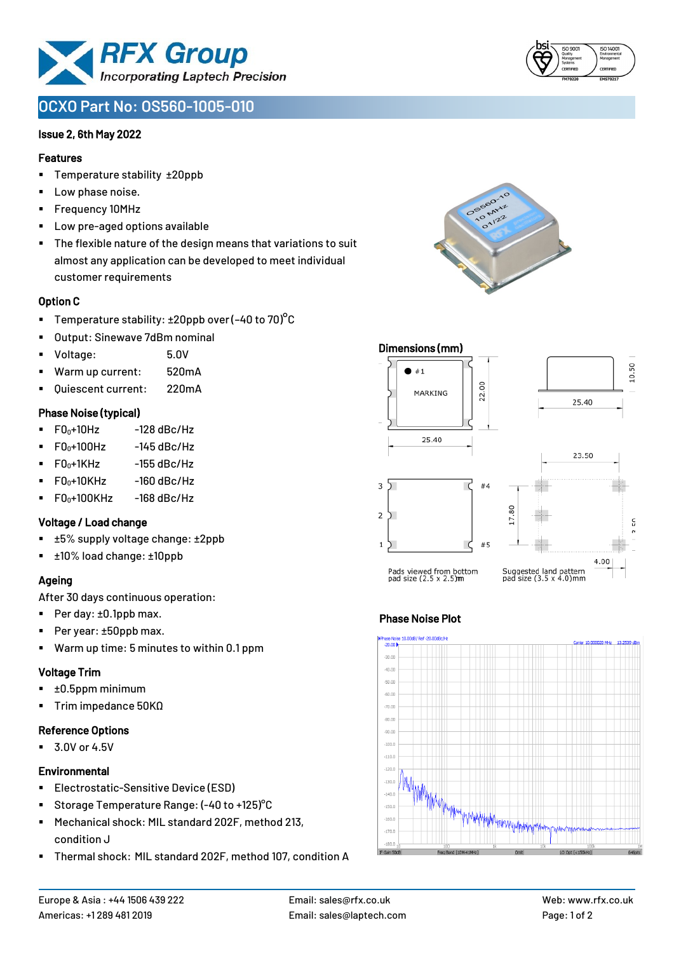

# **OCXO Part No: OS560-1005-010**

### Issue 2, 6th May 2022

### Features

- Temperature stability ±20ppb
- Low phase noise.
- Frequency 10MHz
- Low pre-aged options available
- The flexible nature of the design means that variations to suit almost any application can be developed to meet individual customer requirements

### Option C

- **•** Temperature stability:  $\pm 20$ ppb over (-40 to 70)<sup>o</sup>C
- Output: Sinewave 7dBm nominal
- Voltage: 5.0V
- Warm up current: 520mA
- Quiescent current: 220mA

### Phase Noise (typical)

- $F0_0+10Hz$  -128 dBc/Hz
- $F0_0 + 100$ Hz  $-145$  dBc/Hz
- $\blacksquare$  F0 $\scriptstyle{0+1}$ KHz -155 dBc/Hz
- $F0_0+10K$ Hz -160 dBc/Hz
- $\blacksquare$  F0<sub>0</sub>+100KHz -168 dBc/Hz

#### Voltage / Load change

- ±5% supply voltage change: ±2ppb
- ±10% load change: ±10ppb

### Ageing

After 30 days continuous operation:

- Per day: ±0.1ppb max.
- Per year: ±50ppb max.
- Warm up time: 5 minutes to within 0.1 ppm

# Voltage Trim

- ±0.5ppm minimum
- Trim impedance 50KΩ

# Reference Options

■ 3.0V or 4.5V

# **Environmental**

- Electrostatic-Sensitive Device (ESD)
- Storage Temperature Range: (-40 to +125)<sup>°</sup>C
- Mechanical shock: MIL standard 202F, method 213, condition J
- Thermal shock: MIL standard 202F, method 107, condition A

mier 10.000020 MHz



y<br>Myn<sub>yph</sub>ys<sub>t</sub>yphydygygyn<sub>inmy</sub>yy

Phase Noise Plot

 $-80.00$  $-90.00$  $-100.0$  $-110.$  $-120$  $-130.0$  $-140.1$ 

 $-150.1$  $-160.0$  $-170.0$